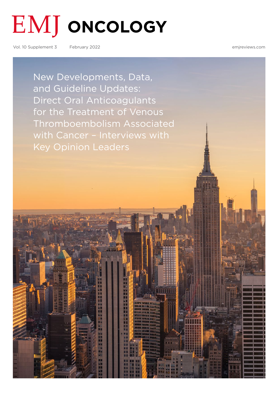# **EMJ** ONCOLOGY

Vol. 10 Supplement 3 February 2022 [emjreviews.com](http://www.emjreviews.com)

New Developments, Data, and Guideline Updates: Direct Oral Anticoagulants for the Treatment of Venous [Thromboembolism Associated](#page-1-0)  with Cancer - Interviews with Key Opinion Leaders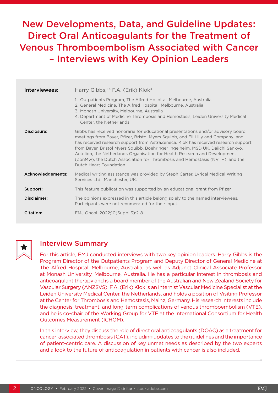## <span id="page-1-0"></span>New Developments, Data, and Guideline Updates: Direct Oral Anticoagulants for the Treatment of Venous Thromboembolism Associated with Cancer – Interviews with Key Opinion Leaders

| Interviewees:     | Harry Gibbs, $1-3$ F.A. (Erik) Klok <sup>4</sup>                                                                                                                                                                                                                                                                                                                                                                                                                                                                                        |
|-------------------|-----------------------------------------------------------------------------------------------------------------------------------------------------------------------------------------------------------------------------------------------------------------------------------------------------------------------------------------------------------------------------------------------------------------------------------------------------------------------------------------------------------------------------------------|
|                   | 1. Outpatients Program, The Alfred Hospital, Melbourne, Australia<br>2. General Medicine, The Alfred Hospital, Melbourne, Australia<br>3. Monash University, Melbourne, Australia<br>4. Department of Medicine Thrombosis and Hemostasis, Leiden University Medical<br>Center, the Netherlands                                                                                                                                                                                                                                          |
| Disclosure:       | Gibbs has received honoraria for educational presentations and/or advisory board<br>meetings from Bayer, Pfizer, Bristol Myers Squibb, and Eli Lilly and Company; and<br>has received research support from AstraZeneca. Klok has received research support<br>from Bayer, Bristol Myers Squibb, Boehringer Ingelheim, MSD UK, Daiichi Sankyo,<br>Actelion, the Netherlands Organisation for Health Research and Development<br>(ZonMw), the Dutch Association for Thrombosis and Hemostasis (NVTH), and the<br>Dutch Heart Foundation. |
| Acknowledgements: | Medical writing assistance was provided by Steph Carter, Lyrical Medical Writing<br>Services Ltd., Manchester, UK.                                                                                                                                                                                                                                                                                                                                                                                                                      |
| Support:          | This feature publication was supported by an educational grant from Pfizer.                                                                                                                                                                                                                                                                                                                                                                                                                                                             |
| Disclaimer:       | The opinions expressed in this article belong solely to the named interviewees.<br>Participants were not renumerated for their input.                                                                                                                                                                                                                                                                                                                                                                                                   |
| Citation:         | EMJ Oncol. 2022:10 (Suppl 3):2-8.                                                                                                                                                                                                                                                                                                                                                                                                                                                                                                       |



### Interview Summary

For this article, EMJ conducted interviews with two key opinion leaders. Harry Gibbs is the Program Director of the Outpatients Program and Deputy Director of General Medicine at The Alfred Hospital, Melbourne, Australia, as well as Adjunct Clinical Associate Professor at Monash University, Melbourne, Australia. He has a particular interest in thrombosis and anticoagulant therapy and is a board member of the Australian and New Zealand Society for Vascular Surgery (ANZSVS). F.A. (Erik) Klok is an Internist Vascular Medicine Specialist at the Leiden University Medical Center, the Netherlands, and holds a position of Visiting Professor at the Center for Thrombosis and Hemostasis, Mainz, Germany. His research interests include the diagnosis, treatment, and long-term complications of venous thromboembolism (VTE), and he is co-chair of the Working Group for VTE at the International Consortium for Health Outcomes Measurement (ICHOM).

In this interview, they discuss the role of direct oral anticoagulants (DOAC) as a treatment for cancer-associated thrombosis (CAT), including updates to the guidelines and the importance of patient-centric care. A discussion of key unmet needs as described by the two experts and a look to the future of anticoagulation in patients with cancer is also included.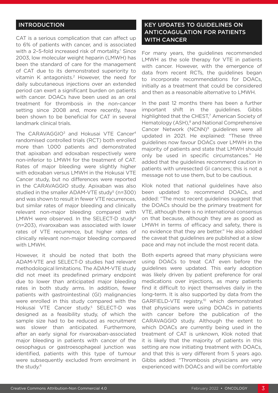#### INTRODUCTION

CAT is a serious complication that can affect up to 6% of patients with cancer, and is associated with a 2-5-fold increased risk of mortality.<sup>1</sup> Since 2003, low molecular weight heparin (LMWH) has been the standard of care for the management of CAT due to its demonstrated superiority to vitamin K antagonists.2 However, the need for daily subcutaneous injections over an extended period can exert a significant burden on patients with cancer. DOACs have been used as an oral treatment for thrombosis in the non-cancer setting since 2008 and, more recently, have been shown to be beneficial for CAT in several landmark clinical trials.

The CARAVAGGIO<sup>3</sup> and Hokusai VTE Cancer<sup>4</sup> randomised controlled trials (RCT) both enrolled more than 1,000 patients and demonstrated that apixaban and edoxaban respectively were non-inferior to LMWH for the treatment of CAT. Rates of major bleeding were slightly higher with edoxaban versus LMWH in the Hokusai VTE Cancer study, but no differences were reported in the CARAVAGGIO study. Apixaban was also studied in the smaller  $ADAM-UTE$  study<sup>5</sup> ( $n=300$ ) and was shown to result in fewer VTE recurrences, but similar rates of major bleeding and clinically relevant non-major bleeding compared with LMWH were observed. In the SELECT-D study6 (n=203), rivaroxaban was associated with lower rates of VTE recurrence, but higher rates of clinically relevant non-major bleeding compared with LMWH.

However, it should be noted that both the ADAM-VTE and SELECT-D studies had relevant methodological limitations. The ADAM-VTE study did not meet its predefined primary endpoint due to lower than anticipated major bleeding rates in both study arms. In addition, fewer patients with gastrointestinal (GI) malignancies were enrolled in this study compared with the Hokusai VTE Cancer study.<sup>5</sup> SELECT-D was designed as a feasibility study, of which the sample size had to be reduced as recruitment was slower than anticipated. Furthermore, after an early signal for rivaroxaban-associated major bleeding in patients with cancer of the oesophagus or gastroesophageal junction was identified, patients with this type of tumour were subsequently excluded from enrolment in the study.<sup>6</sup>

#### KEY UPDATES TO GUIDELINES ON ANTICOAGULATION FOR PATIENTS WITH CANCER

For many years, the guidelines recommended LMWH as the sole therapy for VTE in patients with cancer. However, with the emergence of data from recent RCTs, the guidelines began to incorporate recommendations for DOACs, initially as a treatment that could be considered and then as a reasonable alternative to LMWH.

In the past 12 months there has been a further important shift in the guidelines. Gibbs highlighted that the CHEST,<sup>7</sup> American Society of Hematology (ASH),<sup>8</sup> and National Comprehensive Cancer Network (NCNN)9 guidelines were all updated in 2021. He explained: "These three guidelines now favour DOACs over LMWH in the majority of patients and state that LMWH should only be used in specific circumstances." He added that the guidelines recommend caution in patients with unresected GI cancers; this is not a message not to use them, but to be cautious.

Klok noted that national guidelines have also been updated to recommend DOACs, and added: "The most recent guidelines suggest that the DOACs should be the primary treatment for VTE, although there is no international consensus on that because, although they are as good as LMWH in terms of efficacy and safety, there is no evidence that they are better." He also added the caveat that guidelines are published at a slow pace and may not include the most recent data.

Both experts agreed that many physicians were using DOACs to treat CAT even before the guidelines were updated. This early adoption was likely driven by patient preference for oral medications over injections, as many patients find it difficult to inject themselves daily in the long-term. It is also supported by data from the GARFIELD-VTE registry,<sup>10</sup> which demonstrated that physicians were using DOACs in patients with cancer before the publication of the CARAVAGGIO study. Although the extent to which DOACs are currently being used in the treatment of CAT is unknown, Klok noted that it is likely that the majority of patients in this setting are now initiating treatment with DOACs, and that this is very different from 5 years ago. Gibbs added: "Thrombosis physicians are very experienced with DOACs and will be comfortable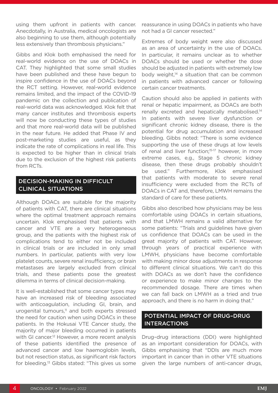using them upfront in patients with cancer. Anecdotally, in Australia, medical oncologists are also beginning to use them, although potentially less extensively than thrombosis physicians."

Gibbs and Klok both emphasised the need for real-world evidence on the use of DOACs in CAT. They highlighted that some small studies have been published and these have begun to inspire confidence in the use of DOACs beyond the RCT setting. However, real-world evidence remains limited, and the impact of the COVID-19 pandemic on the collection and publication of real-world data was acknowledged. Klok felt that many cancer institutes and thrombosis experts will now be conducting these types of studies and that more real-world data will be published in the near future. He added that Phase IV and post-marketing studies are useful, as they indicate the rate of complications in real life. This is expected to be higher than in clinical trials due to the exclusion of the highest risk patients from RCTs.

#### DECISION-MAKING IN DIFFICULT CLINICAL SITUATIONS

Although DOACs are suitable for the majority of patients with CAT, there are clinical situations where the optimal treatment approach remains uncertain. Klok emphasised that patients with cancer and VTE are a very heterogeneous group, and the patients with the highest risk of complications tend to either not be included in clinical trials or are included in only small numbers. In particular, patients with very low platelet counts, severe renal insufficiency, or brain metastases are largely excluded from clinical trials, and these patients pose the greatest dilemma in terms of clinical decision-making.

It is well-established that some cancer types may have an increased risk of bleeding associated with anticoagulation, including GI, brain, and urogenital tumours, $11$  and both experts stressed the need for caution when using DOACs in these patients. In the Hokusai VTE Cancer study, the majority of major bleeding occurred in patients with GI cancer.<sup>12</sup> However, a more recent analysis of these patients identified the presence of advanced cancer and low haemoglobin levels, but not resection status, as significant risk factors for bleeding.13 Gibbs stated: "This gives us some

reassurance in using DOACs in patients who have not had a GI cancer resected."

Extremes of body weight were also discussed as an area of uncertainty in the use of DOACs. In particular, it remains unclear as to whether DOACs should be used or whether the dose should be adjusted in patients with extremely low body weight, $14$  a situation that can be common in patients with advanced cancer or following certain cancer treatments.

Caution should also be applied in patients with renal or hepatic impairment, as DOACs are both renally excreted and hepatically metabolised.14 In patients with severe liver dysfunction or significant chronic kidney disease, there is the potential for drug accumulation and increased bleeding. Gibbs noted: "There is some evidence supporting the use of these drugs at low levels of renal and liver function;<sup>15-17</sup> however, in more extreme cases, e.g., Stage 5 chronic kidney disease, then these drugs probably shouldn't be used." Furthermore, Klok emphasised that patients with moderate to severe renal insufficiency were excluded from the RCTs of DOACs in CAT and, therefore, LMWH remains the standard of care for these patients.

Gibbs also described how physicians may be less comfortable using DOACs in certain situations, and that LMWH remains a valid alternative for some patients: "Trials and guidelines have given us confidence that DOACs can be used in the great majority of patients with CAT. However, through years of practical experience with LMWH, physicians have become comfortable with making minor dose adjustments in response to different clinical situations. We can't do this with DOACs as we don't have the confidence or experience to make minor changes to the recommended dosage. There are times when we can fall back on LMWH as a tried and true approach, and there is no harm in doing that."

#### POTENTIAL IMPACT OF DRUG–DRUG INTERACTIONS

Drug–drug interactions (DDI) were highlighted as an important consideration for DOACs, with Gibbs emphasising that "DDIs are much more important in cancer than in other VTE situations given the large numbers of anti-cancer drugs,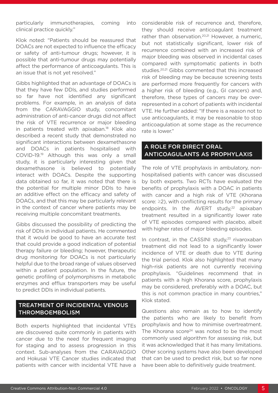particularly immunotherapies, coming into clinical practice quickly."

Klok noted: "Patients should be reassured that DOACs are not expected to influence the efficacy or safety of anti-tumour drugs; however, it is possible that anti-tumour drugs may potentially affect the performance of anticoagulants. This is an issue that is not yet resolved."

Gibbs highlighted that an advantage of DOACs is that they have few DDIs, and studies performed so far have not identified any significant problems. For example, in an analysis of data from the CARAVAGGIO study, concomitant administration of anti-cancer drugs did not affect the risk of VTE recurrence or major bleeding in patients treated with apixaban.18 Klok also described a recent study that demonstrated no significant interactions between dexamethasone and DOACs in patients hospitalised with COVID-19.19 Although this was only a small study, it is particularly interesting given that dexamethasone is believed to potentially interact with DOACs. Despite the supporting data obtained so far, it was noted that there is the potential for multiple minor DDIs to have an additive effect on the efficacy and safety of DOACs, and that this may be particularly relevant in the context of cancer where patients may be receiving multiple concomitant treatments.

Gibbs discussed the possibility of predicting the risk of DDIs in individual patients. He commented that it would be good to have an accurate test that could provide a good indication of potential therapy failure or bleeding; however, therapeutic drug monitoring for DOACs is not particularly helpful due to the broad range of values observed within a patient population. In the future, the genetic profiling of polymorphisms in metabolic enzymes and efflux transporters may be useful to predict DDIs in individual patients.

#### TREATMENT OF INCIDENTAL VENOUS THROMBOEMBOLISM

Both experts highlighted that incidental VTEs are discovered quite commonly in patients with cancer due to the need for frequent imaging for staging and to assess progression in this context. Sub-analyses from the CARAVAGGIO and Hokusai VTE Cancer studies indicated that patients with cancer with incidental VTE have a

considerable risk of recurrence and, therefore, they should receive anticoagulant treatment rather than observation.<sup>20,21</sup> However, a numeric, but not statistically significant, lower risk of recurrence combined with an increased risk of major bleeding was observed in incidental cases compared with symptomatic patients in both studies.<sup>20,21</sup> Gibbs commented that this increased risk of bleeding may be because screening tests are performed more frequently for cancers with a higher risk of bleeding (e.g., GI cancers) and, therefore, these types of cancers may be overrepresented in a cohort of patients with incidental VTE. He further added: "If there is a reason not to use anticoagulants, it may be reasonable to stop anticoagulation at some stage as the recurrence rate is lower."

#### A ROLE FOR DIRECT ORAL ANTICOAGULANTS AS PROPHYLAXIS

The role of VTE prophylaxis in ambulatory, nonhospitalised patients with cancer was discussed by both experts. Two RCTs have evaluated the benefits of prophylaxis with a DOAC in patients with cancer and a high risk of VTE (Khorana score: ≥2), with conflicting results for the primary endpoints. In the AVERT study, $^{22}$  apixaban treatment resulted in a significantly lower rate of VTE episodes compared with placebo, albeit with higher rates of major bleeding episodes.

In contrast, in the CASSINI study, $23$  rivaroxaban treatment did not lead to a significantly lower incidence of VTE or death due to VTE during the trial period. Klok also highlighted that many high-risk patients are not currently receiving prophylaxis. "Guidelines recommend that in patients with a high Khorana score, prophylaxis may be considered, preferably with a DOAC, but this is not common practice in many countries," Klok stated.

Questions also remain as to how to identify the patients who are likely to benefit from prophylaxis and how to minimise overtreatment. The Khorana score<sup>24</sup> was noted to be the most commonly used algorithm for assessing risk, but it was acknowledged that it has many limitations. Other scoring systems have also been developed that can be used to predict risk, but so far none have been able to definitively guide treatment.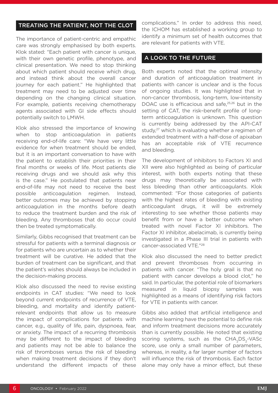#### TREATING THE PATIENT, NOT THE CLOT

The importance of patient-centric and empathic care was strongly emphasised by both experts. Klok stated: "Each patient with cancer is unique, with their own genetic profile, phenotype, and clinical presentation. We need to stop thinking about which patient should receive which drug, and instead think about the overall cancer journey for each patient." He highlighted that treatment may need to be adjusted over time depending on the changing clinical situation. For example, patients receiving chemotherapy agents associated with GI side effects should potentially switch to LMWH.

Klok also stressed the importance of knowing when to stop anticoagulation in patients receiving end-of-life care: "We have very little evidence for when treatment should be ended, but it is an important conversation to have with the patient to establish their priorities in their final months or weeks of life. Most patients die receiving drugs and we should ask why this is the case." He postulated that patients near end-of-life may not need to receive the best possible anticoagulation regimen. Instead, better outcomes may be achieved by stopping anticoagulation in the months before death to reduce the treatment burden and the risk of bleeding. Any thromboses that do occur could then be treated symptomatically.

Similarly, Gibbs recognised that treatment can be stressful for patients with a terminal diagnosis or for patients who are uncertain as to whether their treatment will be curative. He added that the burden of treatment can be significant, and that the patient's wishes should always be included in the decision-making process.

Klok also discussed the need to revise existing endpoints in CAT studies: "We need to look beyond current endpoints of recurrence of VTE, bleeding, and mortality and identify patientrelevant endpoints that allow us to measure the impact of complications for patients with cancer, e.g., quality of life, pain, dyspnoea, fear, or anxiety. The impact of a recurring thrombosis may be different to the impact of bleeding and patients may not be able to balance the risk of thromboses versus the risk of bleeding when making treatment decisions if they don't understand the different impacts of these

complications." In order to address this need, the ICHOM has established a working group to identify a minimum set of health outcomes that are relevant for patients with VTE.

#### A LOOK TO THE FUTURE

Both experts noted that the optimal intensity and duration of anticoagulation treatment in patients with cancer is unclear and is the focus of ongoing studies. It was highlighted that in non-cancer thrombosis, long-term, low-intensity DOAC use is efficacious and safe,<sup>25,26</sup> but in the setting of CAT, the risk–benefit profile of longterm anticoagulation is unknown. This question is currently being addressed by the API-CAT study,<sup>27</sup> which is evaluating whether a regimen of extended treatment with a half-dose of apixaban has an acceptable risk of VTE recurrence and bleeding.

The development of inhibitors to Factors XI and XII were also highlighted as being of particular interest, with both experts noting that these drugs may theoretically be associated with less bleeding than other anticoagulants. Klok commented: "For those categories of patients with the highest rates of bleeding with existing anticoagulant drugs, it will be extremely interesting to see whether those patients may benefit from or have a better outcome when treated with novel Factor XI inhibitors. The Factor XI inhibitor, abelacimab, is currently being investigated in a Phase III trial in patients with cancer-associated VTE."28

Klok also discussed the need to better predict and prevent thromboses from occurring in patients with cancer. "The holy grail is that no patient with cancer develops a blood clot," he said. In particular, the potential role of biomarkers measured in liquid biopsy samples was highlighted as a means of identifying risk factors for VTE in patients with cancer.

Gibbs also added that artificial intelligence and machine learning have the potential to define risk and inform treatment decisions more accurately than is currently possible. He noted that existing scoring systems, such as the CHA<sub>2</sub>DS<sub>2</sub>-VASc score, use only a small number of parameters, whereas, in reality, a far larger number of factors will influence the risk of thrombosis. Each factor alone may only have a minor effect, but these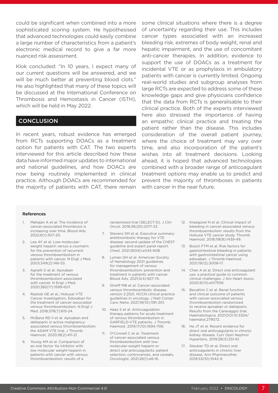could be significant when combined into a more sophisticated scoring system. He hypothesised that advanced technologies could easily combine a large number of characteristics from a patient's electronic medical record to give a far more nuanced risk assessment.

Klok concluded: "In 10 years, I expect many of our current questions will be answered, and we will be much better at preventing blood clots." He also highlighted that many of these topics will be discussed at the International Conference on Thrombosis and Hemostasis in Cancer (ISTH), which will be held in May 2022.

#### **CONCLUSION**

In recent years, robust evidence has emerged from RCTs supporting DOACs as a treatment option for patients with CAT. The two experts interviewed for this article described how these data have informed major updates to international and national guidelines, and how DOACs are now being routinely implemented in clinical practice. Although DOACs are recommended for the majority of patients with CAT, there remain some clinical situations where there is a degree of uncertainty regarding their use. This includes cancer types associated with an increased bleeding risk, extremes of body weight, renal and hepatic impairment, and the use of concomitant anti-cancer therapies. In addition, evidence to support the use of DOACs as a treatment for incidental VTE or as prophylaxis in ambulatory patients with cancer is currently limited. Ongoing real-world studies and subgroup analyses from large RCTs are expected to address some of these knowledge gaps and give physicians confidence that the data from RCTs is generalisable to their clinical practice. Both of the experts interviewed here also stressed the importance of having an empathic clinical practice and treating the patient rather than the disease. This includes consideration of the overall patient journey, where the choice of treatment may vary over time, and also incorporation of the patient's wishes into all treatment decisions. Looking ahead, it is hoped that advanced technologies combined with a broader range of anticoagulant treatment options may enable us to predict and prevent the majority of thromboses in patients with cancer in the near future.

#### References

- 1. Mahajan A et al. The incidence of cancer-associated thrombosis is increasing over time. Blood Adv. 2022;6(1):307-20.
- 2. Lee AY et al. Low-molecularweight heparin versus a coumarin for the prevention of recurrent venous thromboembolism in patients with cancer. N Engl J Med. 2003;349(2):146-53.
- 3. Agnelli G et al. Apixaban for the treatment of venous thromboembolism associated with cancer. N Engl J Med. 2020;382(17):1599-607.
- 4. Raskob GE et al.; Hokusai VTE Cancer Investigators. Edoxaban for the treatment of cancer-associated venous thromboembolism. N Engl J Med. 2018;378(7):615-24.
- 5. McBane RD II et al. Apixaban and dalteparin in active malignancyassociated venous thromboembolism: the ADAM VTE trial. J Thromb Haemost. 2020;18(2):411-21.
- 6. Young AM et al. Comparison of an oral factor Xa inhibitor with low molecular weight heparin in patients with cancer with venous thromboembolism: results of a

randomized trial (SELECT-D). J Clin Oncol. 2018;36(20):2017-23.

- 7. Stevens SM et al. Executive summary: antithrombotic therapy for VTE disease: second update of the CHEST guideline and expert panel report. Chest. 2021;160(6):e545-608.
- 8. Lyman GH et al. American Society of Hematology 2021 guidelines for management of venous thromboembolism: prevention and treatment in patients with cancer. Blood Adv. 2021;5(4):927-74.
- 9. Streiff MB et al. Cancer-associated venous thromboembolic disease, version 2.2021, NCCN clinical practice guidelines in oncology. J Natl Compr Canc Netw. 2021;19(10):1181-201.
- 10. Haas S et al. Anticoagulation therapy patterns for acute treatment of venous thromboembolism in GARFIELD-VTE patients. J Thromb Haemost. 2019;17(10):1694-706.
- 11. O'Connell C et al. Treatment of cancer-associated venous thromboembolism with lowmolecular-weight heparin or direct oral anticoagulants: patient selection, controversies, and caveats. Oncologist. 2021;26(1):e8-16.
- 12. Kraaijpoel N et al. Clinical impact of bleeding in cancer-associated venous thromboembolism: results from the Hokusai VTE cancer study. Thromb Haemost. 2018;118(8):1439-49.
- 13. Bosch FTM et al. Risk factors for gastrointestinal bleeding in patients with gastrointestinal cancer using edoxaban. J Thromb Haemost. 2021;19(12):3008-17.
- 14. Chen A et al. Direct oral anticoagulant use: a practical guide to common clinical challenges. J Am Heart Assoc. 2020;9(13):e017559.
- 15. Becattini C et al. Renal function and clinical outcome of patients with cancer-associated venous thromboembolism randomized to receive apixaban or dalteparin. Results from the Caravaggio trial. Haematologica. 2021;DOI:10.3324/ haematol.279072.
- 16. Ha JT et al. Recent evidence for direct oral anticoagulants in chronic kidney disease. Curr Opin Nephrol Hypertens. 2019;28(3):251-61.
- 17. Steuber TD et al. Direct oral anticoagulants in chronic liver disease. Ann Pharmacother. 2019;53(10):1042-9.